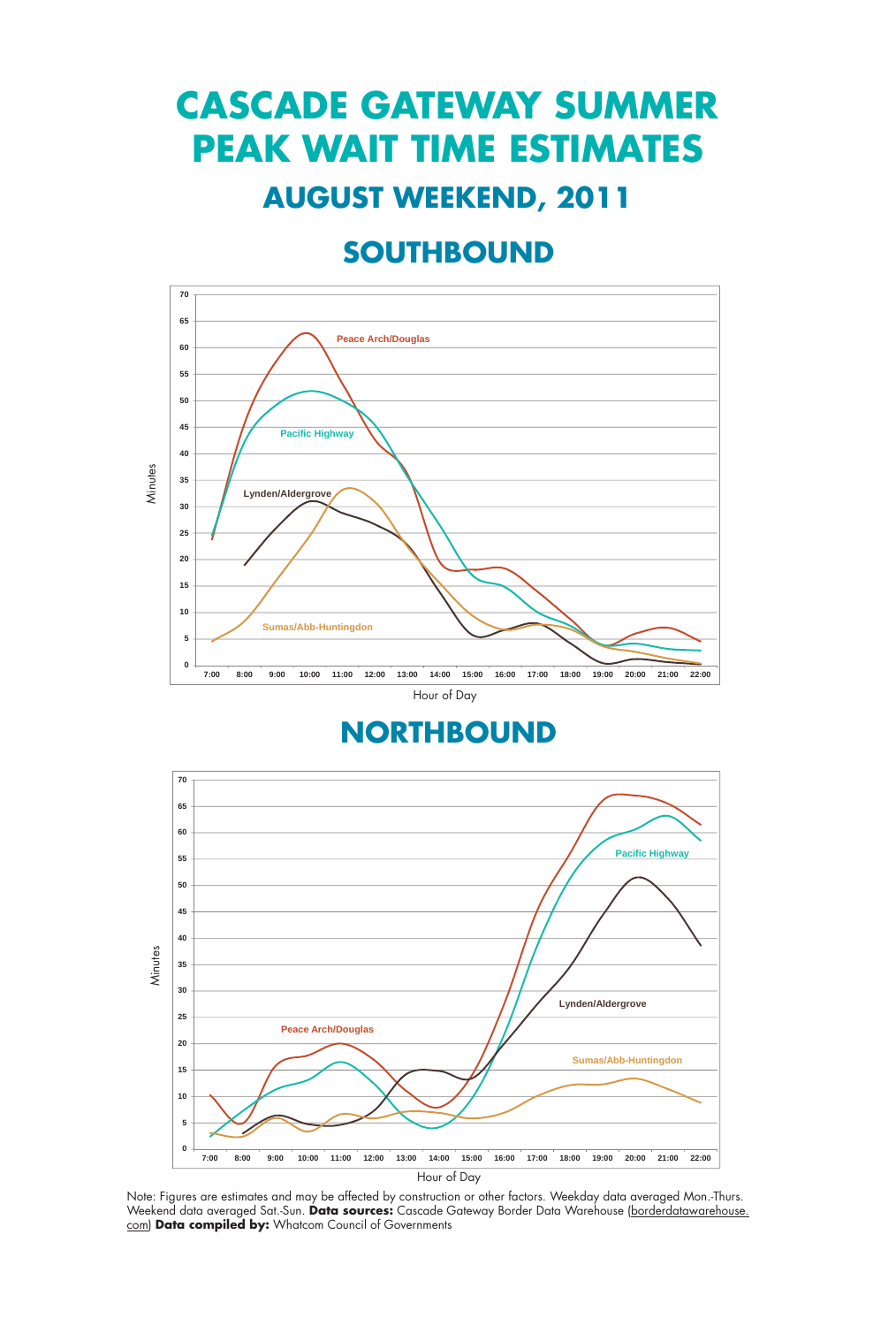## **CASCADE GATEWAY SUMMER PEAK WAIT TIME ESTIMATES AUGUST WEEKEND, 2011**

### **SOUTHBOUND**



**NORTHBOUND**



Note: Figures are estimates and may be affected by construction or other factors. Weekday data averaged Mon.-Thurs. Weekend data averaged Sat.-Sun. **Data sources:** Cascade Gateway Border Data Warehouse (borderdatawarehouse. com) **Data compiled by:** Whatcom Council of Governments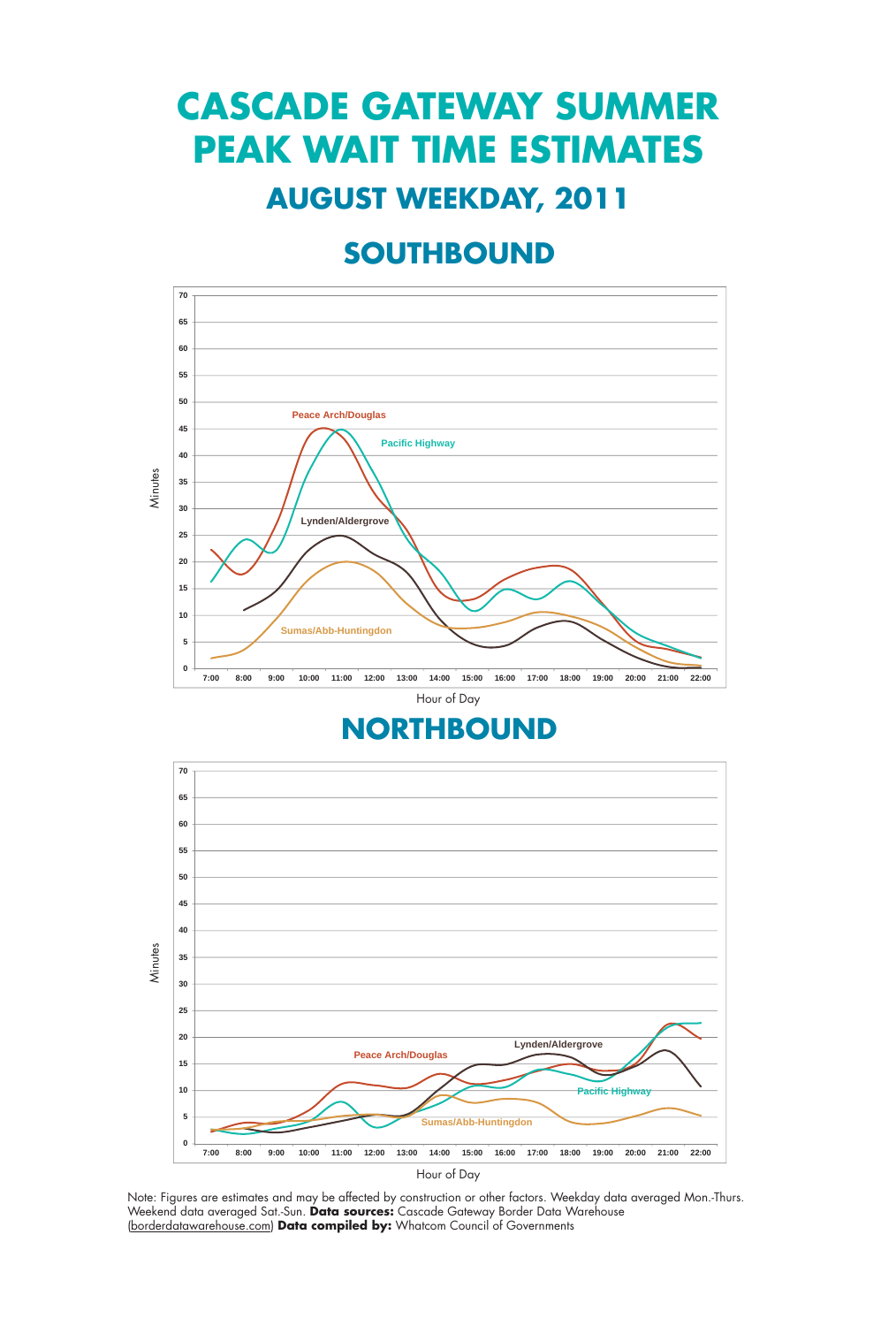# **CASCADE GATEWAY SUMMER PEAK WAIT TIME ESTIMATES**

#### **AUGUST WEEKDAY, 2011**

### **SOUTHBOUND**



#### **NORTHBOUND**



Note: Figures are estimates and may be affected by construction or other factors. Weekday data averaged Mon.-Thurs.<br>Weekend data averaged Sat.-Sun. **Data sources:** Cascade Gateway Border Data Warehouse (borderdatawarehouse.com) Data compiled by: Whatcom Council of Governments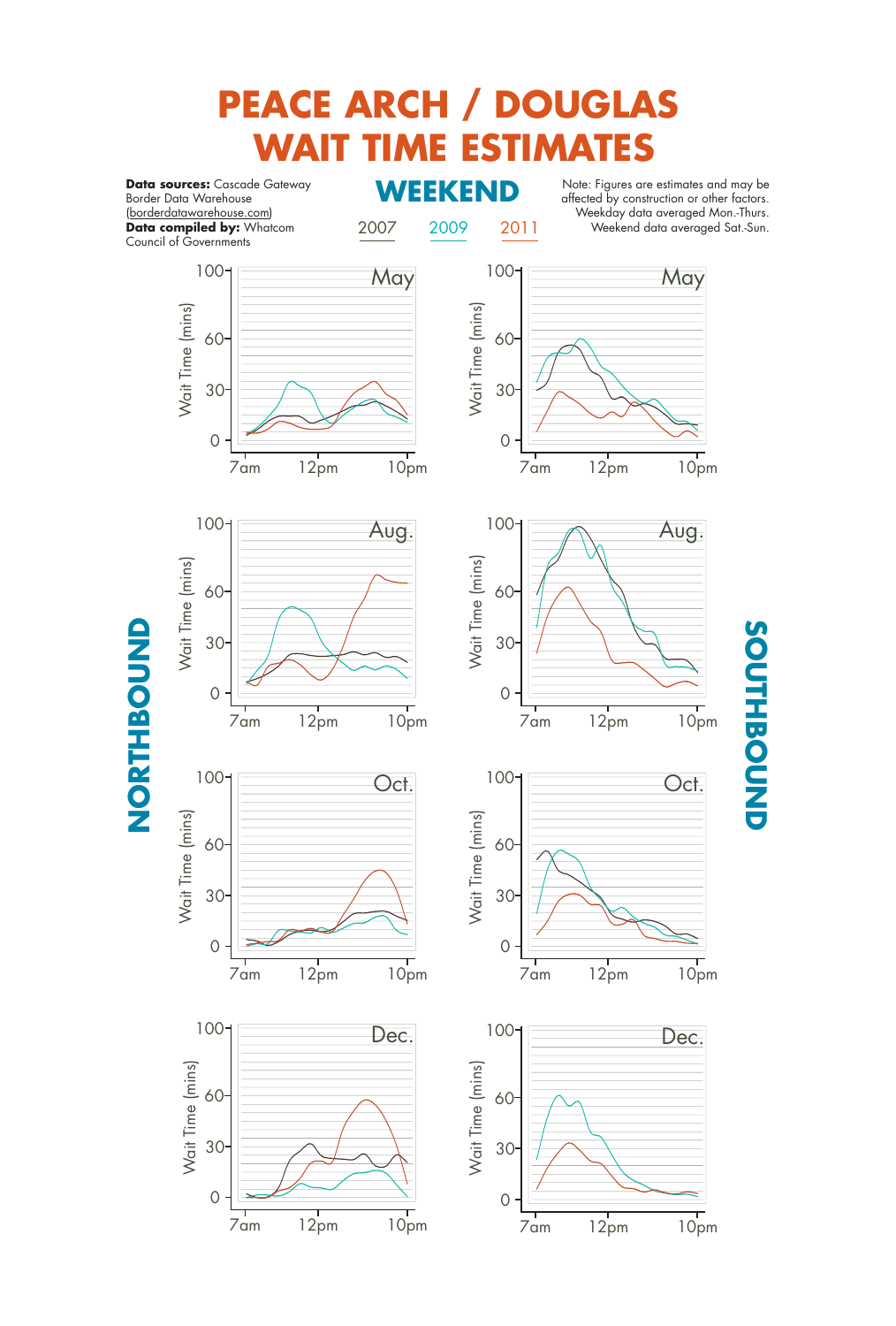# **PEACE ARCH / DOUGLAS WAIT TIME ESTIMATES**

**Data sources:** Cascade Gateway<br>Border Data Warehouse Border Data Warehouse (borderdatawarehouse.com) **Data compiled by:** Whatcom Council of Governments

2007 2009 2011

Note: Figures are estimates and may be affected by construction or other factors. Weekday data averaged Mon.-Thurs. Weekend data averaged Sat.-Sun.

**SOUTHBOUND**

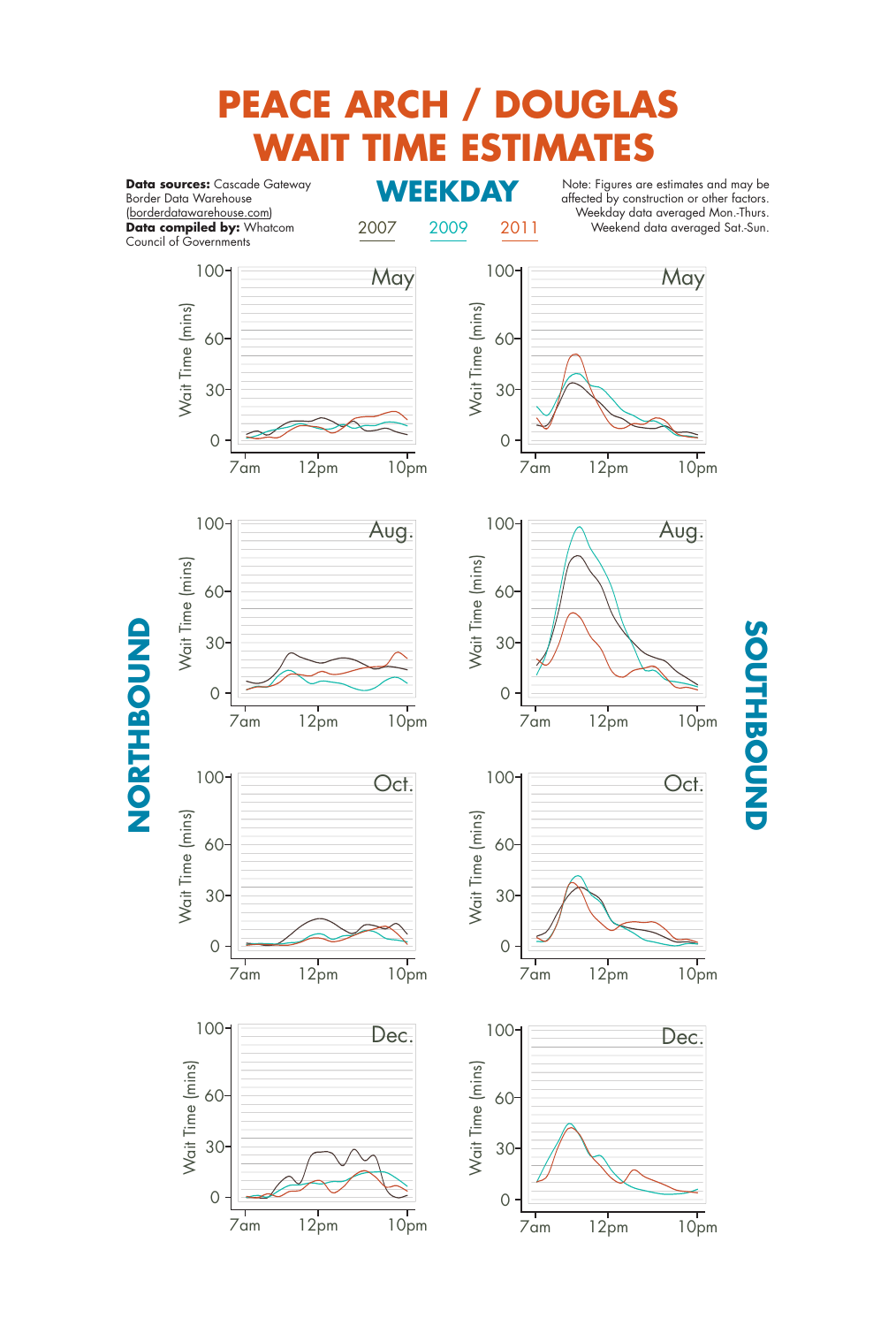# **PEACE ARCH / DOUGLAS WAIT TIME ESTIMATES**

**Data sources:** Cascade Gateway<br>**Border Data Warehouse** Border Data Warehouse (borderdatawarehouse.com) **Data compiled by:** Whatcom Council of Governments

2007 2009 2011

Note: Figures are estimates and may be affected by construction or other factors. Weekday data averaged Mon.-Thurs. Weekend data averaged Sat.-Sun.

**SOUTHBOUND**

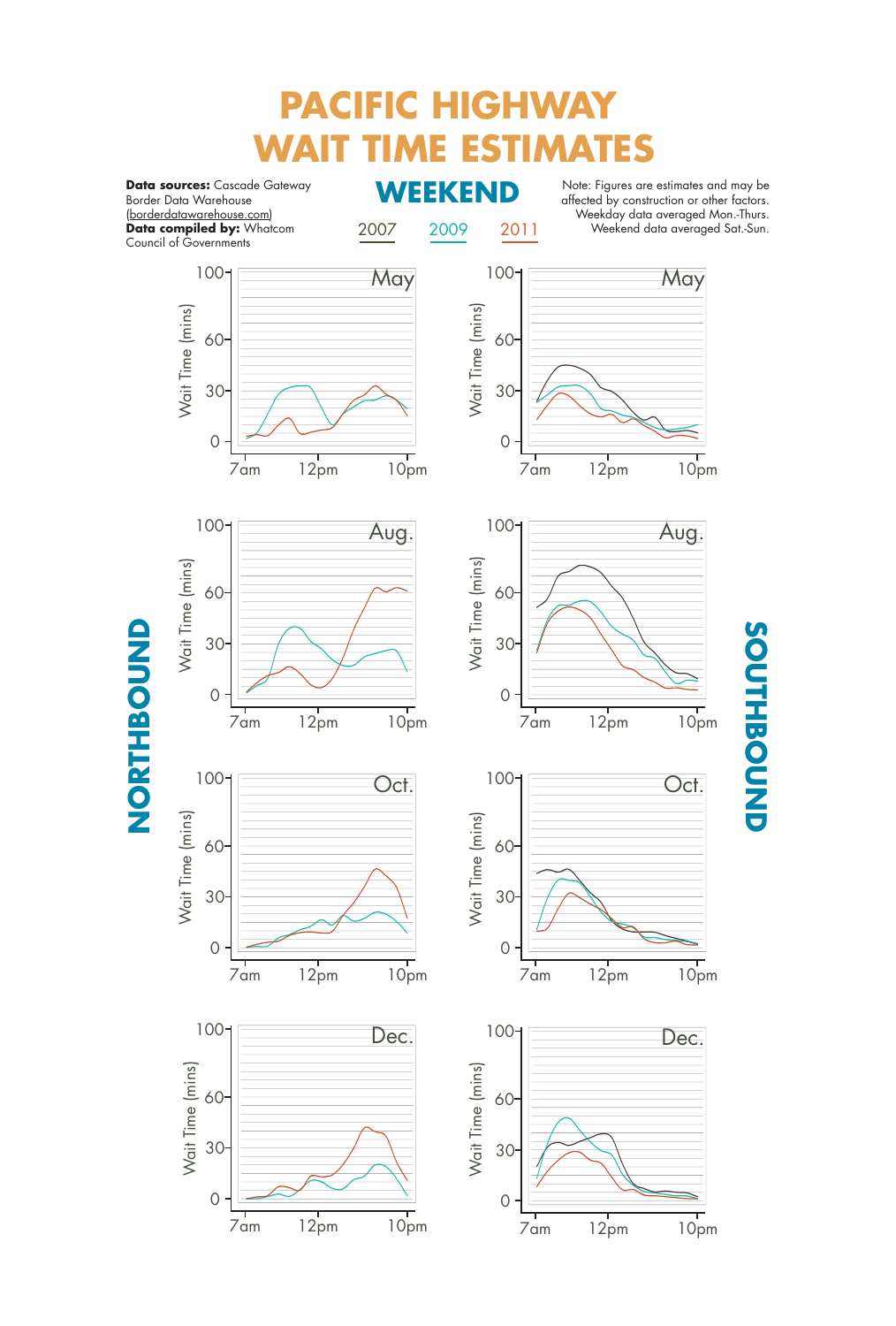# **PACIFIC HIGHWAY E ESTIMATES**

**Data sources:** Cascade Gateway<br>**Reception Merchange MCEREND** Border Data Warehouse (borderdatawarehouse.com) **Data compiled by:** Whatcom Council of Governments

2007 2009 2011

Note: Figures are estimates and may be affected by construction or other factors. Weekday data averaged Mon.-Thurs. Weekend data averaged Sat.-Sun.

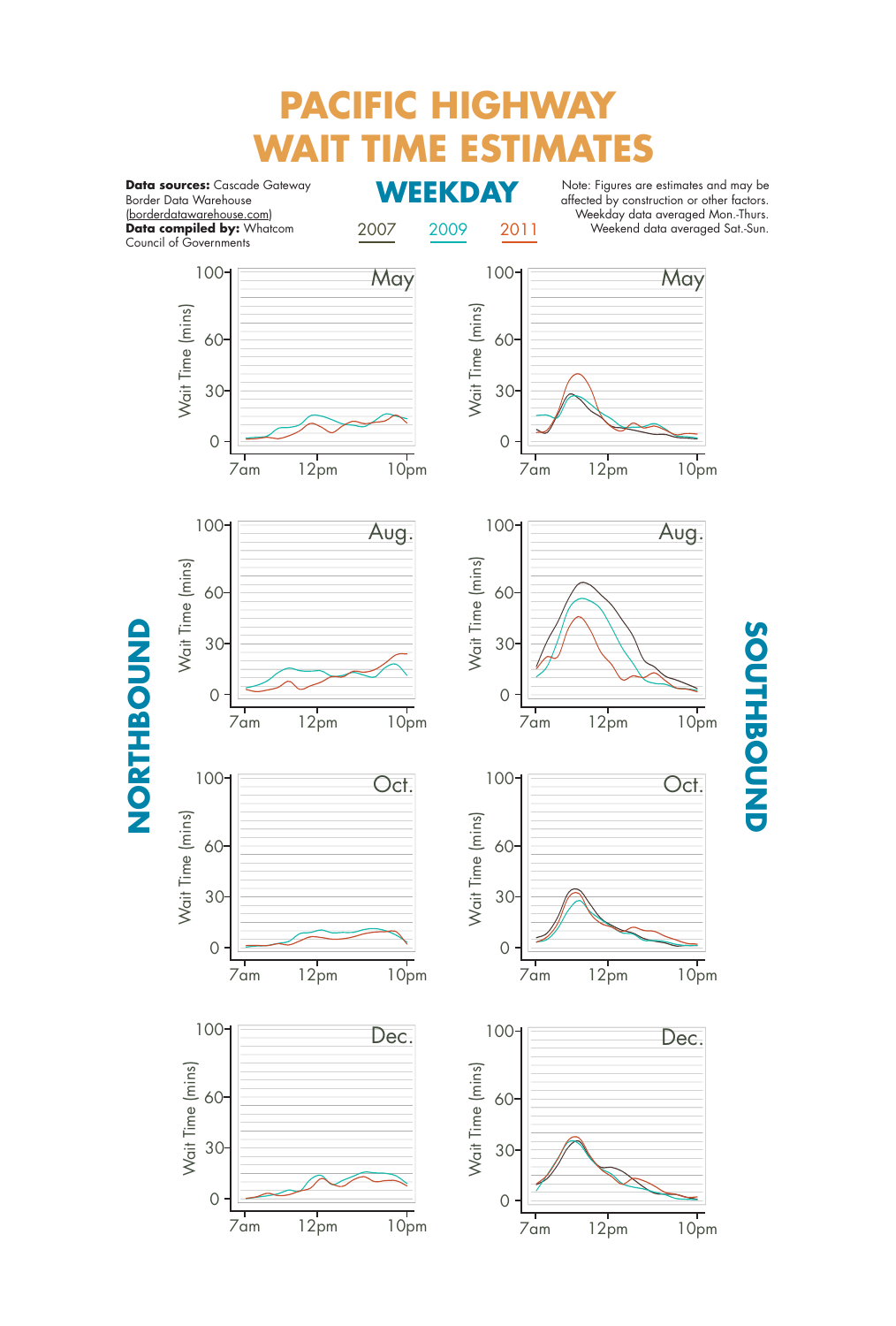# **PACIFIC HIGHWAY WAIT TIME ESTIMATES**

**Data sources:** Cascade Gateway<br>**Border Data Warehouse** Border Data Warehouse (borderdatawarehouse.com) **Data compiled by:** Whatcom Council of Governments

2007 2009 2011

Note: Figures are estimates and may be affected by construction or other factors. Weekday data averaged Mon.-Thurs. Weekend data averaged Sat.-Sun.

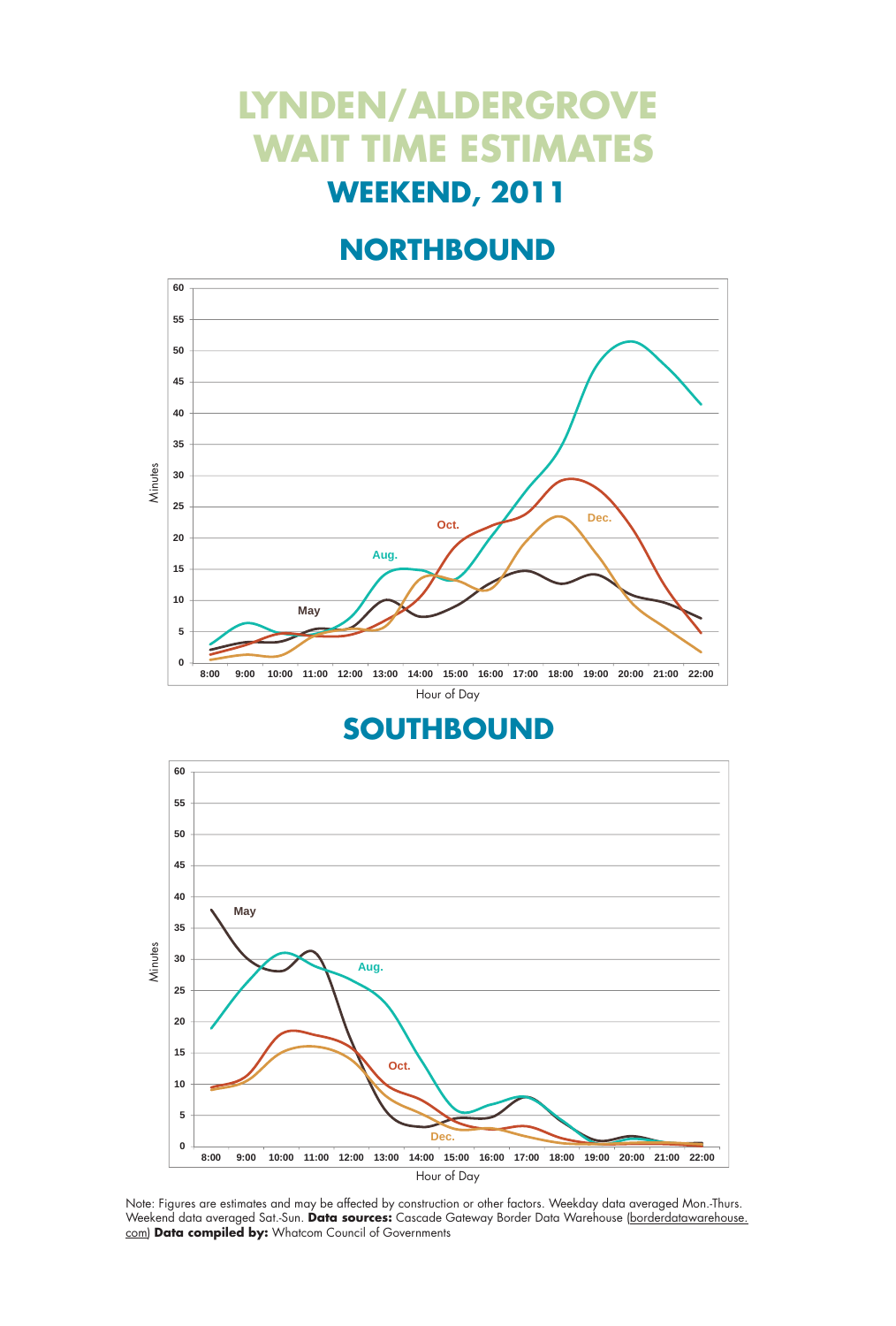# **LYNDEN/ALDERGROVE WAIT TIME ESTIMATES**

### **WEEKEND, 2011**

### **NORTHBOUND**



#### **SOUTHBOUND**



Note: Figures are estimates and may be affected by construction or other factors. Weekday data averaged Mon.-Thurs. Weekend data averaged Sat.-Sun. **Data sources:** Cascade Gateway Border Data Warehouse (borderdatawarehouse. com) **Data compiled by:** Whatcom Council of Governments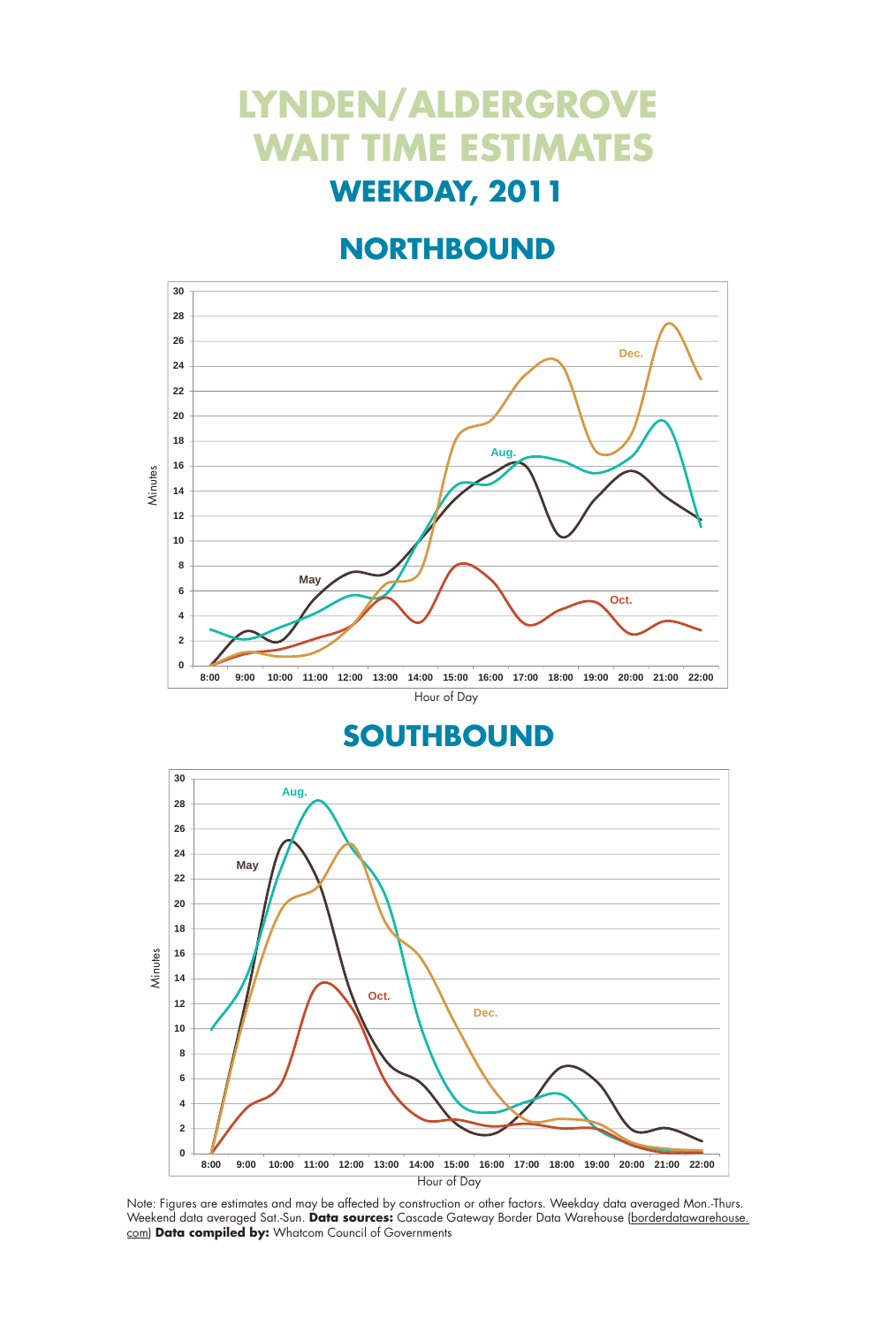## **LYNDEN/ALDERGROVE WAIT TIME ESTIMATES WEEKDAY, 2011**

### **NORTHBOUND**



#### **SOUTHBOUND**



Note: Figures are estimates and may be affected by construction or other factors. Weekday data averaged Mon.-Thurs. Weekend data averaged Sat.-Sun. **Data sources:** Cascade Gateway Border Data Warehouse (borderdatawarehouse. com) Data compiled by: Whatcom Council of Governments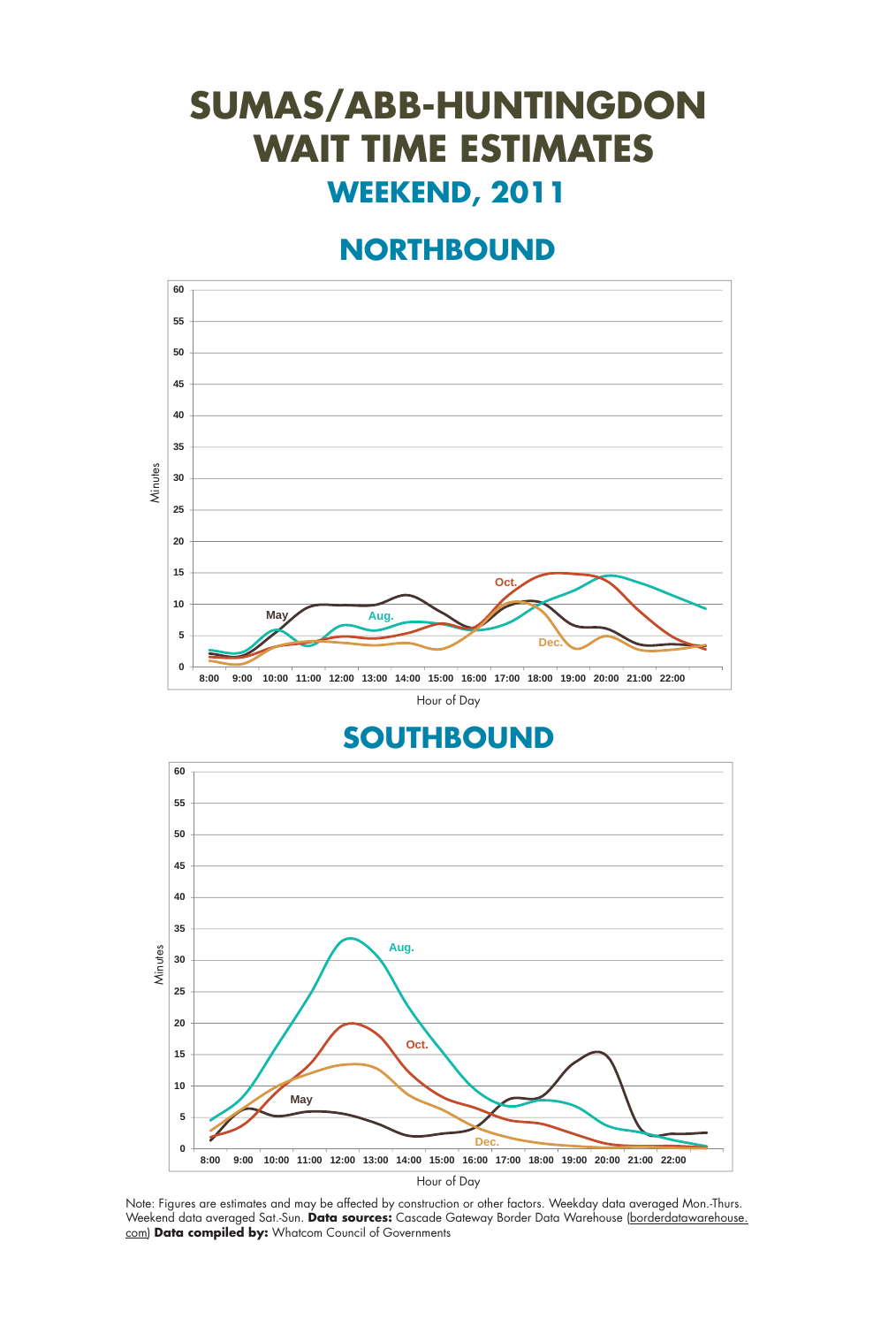## **SUMAS/ABB-HUNTINGDON WAIT TIME ESTIMATES WEEKEND, 2011**

### **NORTHBOUND**





Note: Figures are estimates and may be affected by construction or other factors. Weekday data averaged Mon.-Thurs. Weekend data averaged Sat.-Sun. **Data sources:** Cascade Gateway Border Data Warehouse (borderdatawarehouse. com) **Data compiled by:** Whatcom Council of Governments